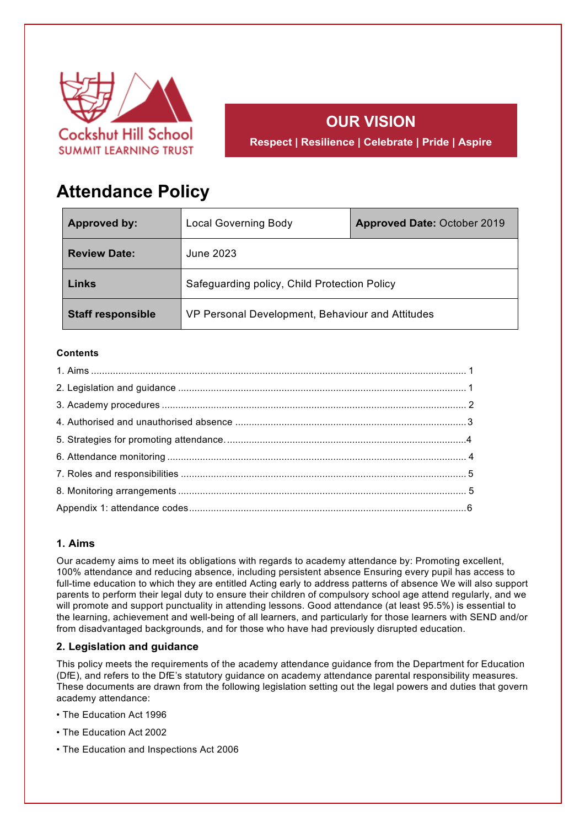

## **OUR VISION**

**Respect | Resilience | Celebrate | Pride | Aspire**

# **Attendance Policy**

| Approved by:             | <b>Local Governing Body</b>                      | <b>Approved Date: October 2019</b> |
|--------------------------|--------------------------------------------------|------------------------------------|
| <b>Review Date:</b>      | June 2023                                        |                                    |
| Links                    | Safeguarding policy, Child Protection Policy     |                                    |
| <b>Staff responsible</b> | VP Personal Development, Behaviour and Attitudes |                                    |

## **Contents**

## **1. Aims**

Our academy aims to meet its obligations with regards to academy attendance by: Promoting excellent, 100% attendance and reducing absence, including persistent absence Ensuring every pupil has access to full-time education to which they are entitled Acting early to address patterns of absence We will also support parents to perform their legal duty to ensure their children of compulsory school age attend regularly, and we will promote and support punctuality in attending lessons. Good attendance (at least 95.5%) is essential to the learning, achievement and well-being of all learners, and particularly for those learners with SEND and/or from disadvantaged backgrounds, and for those who have had previously disrupted education.

## **2. Legislation and guidance**

This policy meets the requirements of the academy attendance guidance from the Department for Education (DfE), and refers to the DfE's statutory guidance on academy attendance parental responsibility measures. These documents are drawn from the following legislation setting out the legal powers and duties that govern academy attendance:

- The Education Act 1996
- The Education Act 2002
- The Education and Inspections Act 2006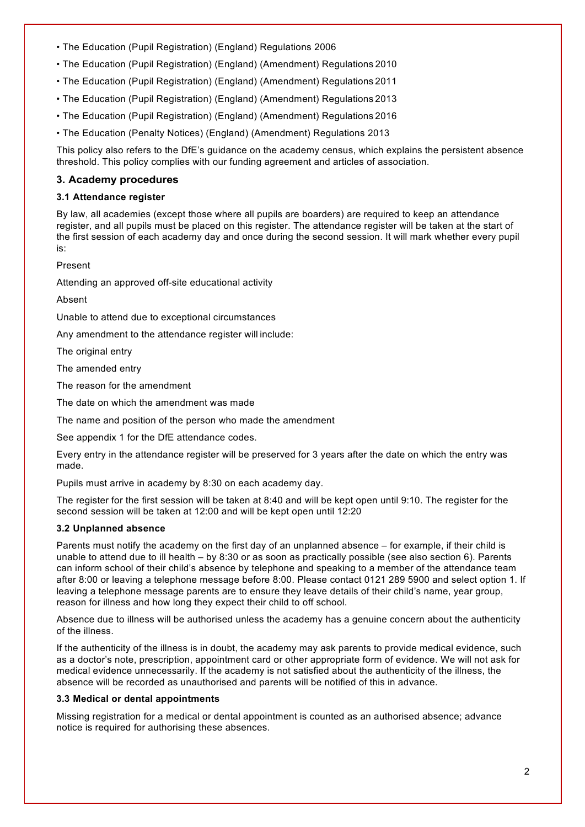- The Education (Pupil Registration) (England) Regulations 2006
- The Education (Pupil Registration) (England) (Amendment) Regulations 2010
- The Education (Pupil Registration) (England) (Amendment) Regulations 2011
- The Education (Pupil Registration) (England) (Amendment) Regulations 2013
- The Education (Pupil Registration) (England) (Amendment) Regulations 2016
- The Education (Penalty Notices) (England) (Amendment) Regulations 2013

This policy also refers to the DfE's guidance on the academy census, which explains the persistent absence threshold. This policy complies with our funding agreement and articles of association.

#### **3. Academy procedures**

#### **3.1 Attendance register**

By law, all academies (except those where all pupils are boarders) are required to keep an attendance register, and all pupils must be placed on this register. The attendance register will be taken at the start of the first session of each academy day and once during the second session. It will mark whether every pupil is:

#### Present

Attending an approved off-site educational activity

Absent

Unable to attend due to exceptional circumstances

Any amendment to the attendance register will include:

The original entry

The amended entry

The reason for the amendment

The date on which the amendment was made

The name and position of the person who made the amendment

See appendix 1 for the DfE attendance codes.

Every entry in the attendance register will be preserved for 3 years after the date on which the entry was made.

Pupils must arrive in academy by 8:30 on each academy day.

The register for the first session will be taken at 8:40 and will be kept open until 9:10. The register for the second session will be taken at 12:00 and will be kept open until 12:20

#### **3.2 Unplanned absence**

Parents must notify the academy on the first day of an unplanned absence – for example, if their child is unable to attend due to ill health – by 8:30 or as soon as practically possible (see also section 6). Parents can inform school of their child's absence by telephone and speaking to a member of the attendance team after 8:00 or leaving a telephone message before 8:00. Please contact 0121 289 5900 and select option 1. If leaving a telephone message parents are to ensure they leave details of their child's name, year group, reason for illness and how long they expect their child to off school.

Absence due to illness will be authorised unless the academy has a genuine concern about the authenticity of the illness.

If the authenticity of the illness is in doubt, the academy may ask parents to provide medical evidence, such as a doctor's note, prescription, appointment card or other appropriate form of evidence. We will not ask for medical evidence unnecessarily. If the academy is not satisfied about the authenticity of the illness, the absence will be recorded as unauthorised and parents will be notified of this in advance.

#### **3.3 Medical or dental appointments**

Missing registration for a medical or dental appointment is counted as an authorised absence; advance notice is required for authorising these absences.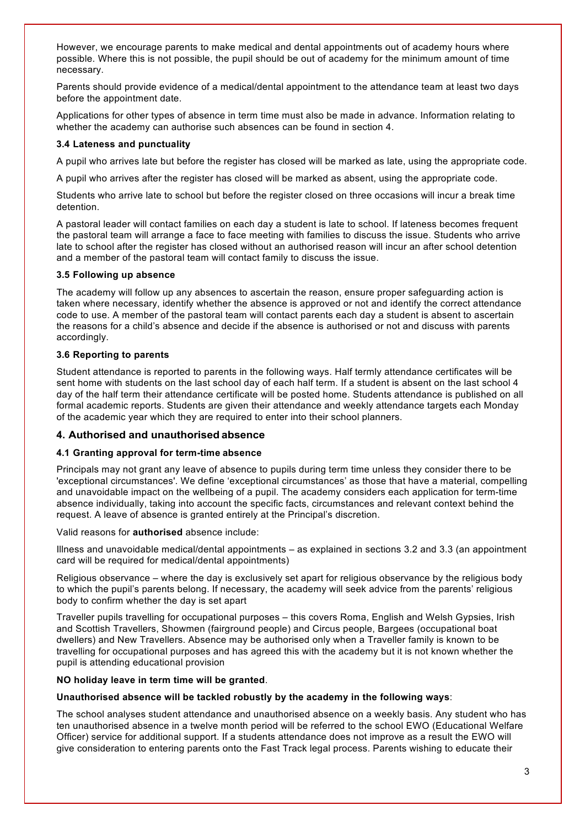However, we encourage parents to make medical and dental appointments out of academy hours where possible. Where this is not possible, the pupil should be out of academy for the minimum amount of time necessary.

Parents should provide evidence of a medical/dental appointment to the attendance team at least two days before the appointment date.

Applications for other types of absence in term time must also be made in advance. Information relating to whether the academy can authorise such absences can be found in section 4.

#### **3.4 Lateness and punctuality**

A pupil who arrives late but before the register has closed will be marked as late, using the appropriate code.

A pupil who arrives after the register has closed will be marked as absent, using the appropriate code.

Students who arrive late to school but before the register closed on three occasions will incur a break time detention.

A pastoral leader will contact families on each day a student is late to school. If lateness becomes frequent the pastoral team will arrange a face to face meeting with families to discuss the issue. Students who arrive late to school after the register has closed without an authorised reason will incur an after school detention and a member of the pastoral team will contact family to discuss the issue.

## **3.5 Following up absence**

The academy will follow up any absences to ascertain the reason, ensure proper safeguarding action is taken where necessary, identify whether the absence is approved or not and identify the correct attendance code to use. A member of the pastoral team will contact parents each day a student is absent to ascertain the reasons for a child's absence and decide if the absence is authorised or not and discuss with parents accordingly.

#### **3.6 Reporting to parents**

Student attendance is reported to parents in the following ways. Half termly attendance certificates will be sent home with students on the last school day of each half term. If a student is absent on the last school 4 day of the half term their attendance certificate will be posted home. Students attendance is published on all formal academic reports. Students are given their attendance and weekly attendance targets each Monday of the academic year which they are required to enter into their school planners.

## **4. Authorised and unauthorised absence**

#### **4.1 Granting approval for term-time absence**

Principals may not grant any leave of absence to pupils during term time unless they consider there to be 'exceptional circumstances'. We define 'exceptional circumstances' as those that have a material, compelling and unavoidable impact on the wellbeing of a pupil. The academy considers each application for term-time absence individually, taking into account the specific facts, circumstances and relevant context behind the request. A leave of absence is granted entirely at the Principal's discretion.

#### Valid reasons for **authorised** absence include:

Illness and unavoidable medical/dental appointments – as explained in sections 3.2 and 3.3 (an appointment card will be required for medical/dental appointments)

Religious observance – where the day is exclusively set apart for religious observance by the religious body to which the pupil's parents belong. If necessary, the academy will seek advice from the parents' religious body to confirm whether the day is set apart

Traveller pupils travelling for occupational purposes – this covers Roma, English and Welsh Gypsies, Irish and Scottish Travellers, Showmen (fairground people) and Circus people, Bargees (occupational boat dwellers) and New Travellers. Absence may be authorised only when a Traveller family is known to be travelling for occupational purposes and has agreed this with the academy but it is not known whether the pupil is attending educational provision

#### **NO holiday leave in term time will be granted**.

#### **Unauthorised absence will be tackled robustly by the academy in the following ways**:

The school analyses student attendance and unauthorised absence on a weekly basis. Any student who has ten unauthorised absence in a twelve month period will be referred to the school EWO (Educational Welfare Officer) service for additional support. If a students attendance does not improve as a result the EWO will give consideration to entering parents onto the Fast Track legal process. Parents wishing to educate their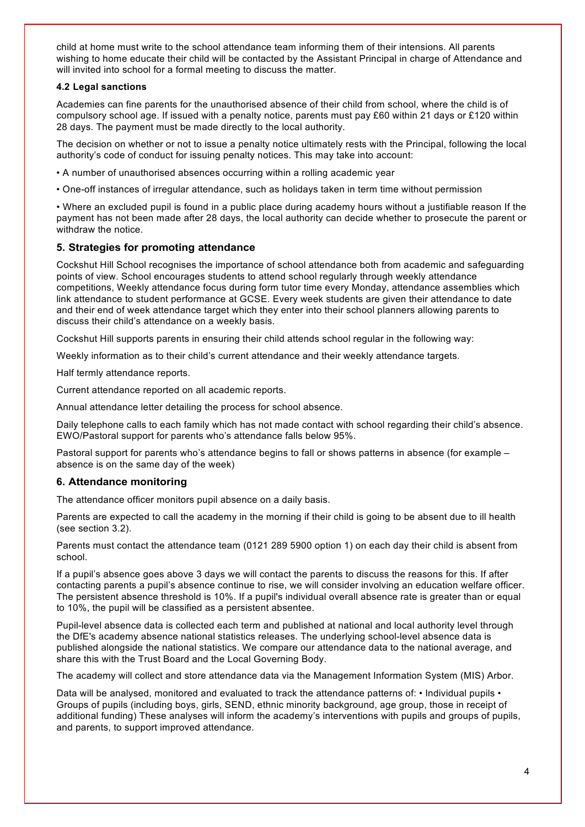child at home must write to the school attendance team informing them of their intensions. All parents wishing to home educate their child will be contacted by the Assistant Principal in charge of Attendance and will invited into school for a formal meeting to discuss the matter.

#### **4.2 Legal sanctions**

Academies can fine parents for the unauthorised absence of their child from school, where the child is of compulsory school age. If issued with a penalty notice, parents must pay £60 within 21 days or £120 within 28 days. The payment must be made directly to the local authority.

The decision on whether or not to issue a penalty notice ultimately rests with the Principal, following the local authority's code of conduct for issuing penalty notices. This may take into account:

- A number of unauthorised absences occurring within a rolling academic year
- One-off instances of irregular attendance, such as holidays taken in term time without permission

• Where an excluded pupil is found in a public place during academy hours without a justifiable reason If the payment has not been made after 28 days, the local authority can decide whether to prosecute the parent or withdraw the notice.

#### **5. Strategies for promoting attendance**

Cockshut Hill School recognises the importance of school attendance both from academic and safeguarding points of view. School encourages students to attend school regularly through weekly attendance competitions, Weekly attendance focus during form tutor time every Monday, attendance assemblies which link attendance to student performance at GCSE. Every week students are given their attendance to date and their end of week attendance target which they enter into their school planners allowing parents to discuss their child's attendance on a weekly basis.

Cockshut Hill supports parents in ensuring their child attends school regular in the following way:

Weekly information as to their child's current attendance and their weekly attendance targets.

Half termly attendance reports.

Current attendance reported on all academic reports.

Annual attendance letter detailing the process for school absence.

Daily telephone calls to each family which has not made contact with school regarding their child's absence. EWO/Pastoral support for parents who's attendance falls below 95%.

Pastoral support for parents who's attendance begins to fall or shows patterns in absence (for example – absence is on the same day of the week)

#### **6. Attendance monitoring**

The attendance officer monitors pupil absence on a daily basis.

Parents are expected to call the academy in the morning if their child is going to be absent due to ill health (see section 3.2).

Parents must contact the attendance team (0121 289 5900 option 1) on each day their child is absent from school.

If a pupil's absence goes above 3 days we will contact the parents to discuss the reasons for this. If after contacting parents a pupil's absence continue to rise, we will consider involving an education welfare officer. The persistent absence threshold is 10%. If a pupil's individual overall absence rate is greater than or equal to 10%, the pupil will be classified as a persistent absentee.

Pupil-level absence data is collected each term and published at national and local authority level through the DfE's academy absence national statistics releases. The underlying school-level absence data is published alongside the national statistics. We compare our attendance data to the national average, and share this with the Trust Board and the Local Governing Body.

The academy will collect and store attendance data via the Management Information System (MIS) Arbor.

Data will be analysed, monitored and evaluated to track the attendance patterns of: • Individual pupils • Groups of pupils (including boys, girls, SEND, ethnic minority background, age group, those in receipt of additional funding) These analyses will inform the academy's interventions with pupils and groups of pupils, and parents, to support improved attendance.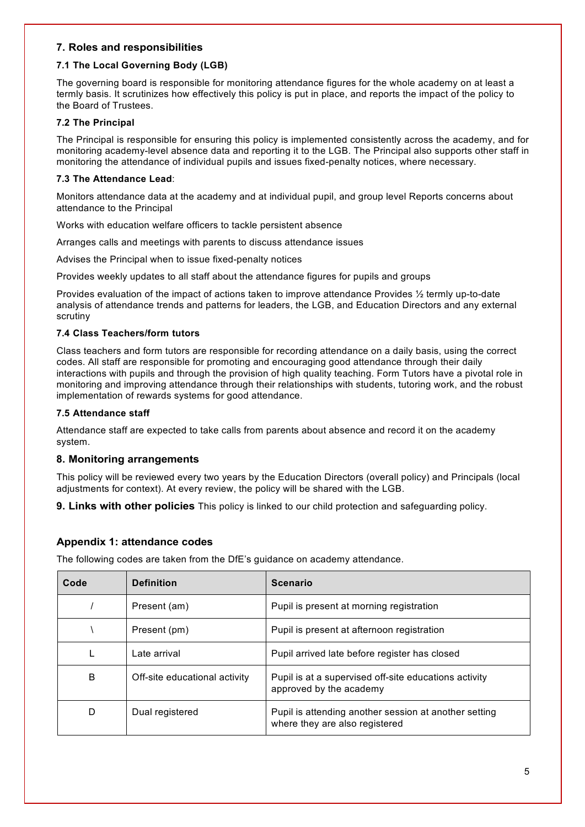## **7. Roles and responsibilities**

## **7.1 The Local Governing Body (LGB)**

The governing board is responsible for monitoring attendance figures for the whole academy on at least a termly basis. It scrutinizes how effectively this policy is put in place, and reports the impact of the policy to the Board of Trustees.

## **7.2 The Principal**

The Principal is responsible for ensuring this policy is implemented consistently across the academy, and for monitoring academy-level absence data and reporting it to the LGB. The Principal also supports other staff in monitoring the attendance of individual pupils and issues fixed-penalty notices, where necessary.

### **7.3 The Attendance Lead**:

Monitors attendance data at the academy and at individual pupil, and group level Reports concerns about attendance to the Principal

Works with education welfare officers to tackle persistent absence

Arranges calls and meetings with parents to discuss attendance issues

Advises the Principal when to issue fixed-penalty notices

Provides weekly updates to all staff about the attendance figures for pupils and groups

Provides evaluation of the impact of actions taken to improve attendance Provides ½ termly up-to-date analysis of attendance trends and patterns for leaders, the LGB, and Education Directors and any external scrutiny

## **7.4 Class Teachers/form tutors**

Class teachers and form tutors are responsible for recording attendance on a daily basis, using the correct codes. All staff are responsible for promoting and encouraging good attendance through their daily interactions with pupils and through the provision of high quality teaching. Form Tutors have a pivotal role in monitoring and improving attendance through their relationships with students, tutoring work, and the robust implementation of rewards systems for good attendance.

#### **7.5 Attendance staff**

Attendance staff are expected to take calls from parents about absence and record it on the academy system.

## **8. Monitoring arrangements**

This policy will be reviewed every two years by the Education Directors (overall policy) and Principals (local adjustments for context). At every review, the policy will be shared with the LGB.

**9. Links with other policies** This policy is linked to our child protection and safeguarding policy.

## **Appendix 1: attendance codes**

The following codes are taken from the DfE's guidance on academy attendance.

| Code                 | <b>Definition</b>             | <b>Scenario</b>                                                                         |
|----------------------|-------------------------------|-----------------------------------------------------------------------------------------|
|                      | Present (am)                  | Pupil is present at morning registration                                                |
|                      | Present (pm)                  | Pupil is present at afternoon registration                                              |
|                      | Late arrival                  | Pupil arrived late before register has closed                                           |
| B                    | Off-site educational activity | Pupil is at a supervised off-site educations activity<br>approved by the academy        |
| D<br>Dual registered |                               | Pupil is attending another session at another setting<br>where they are also registered |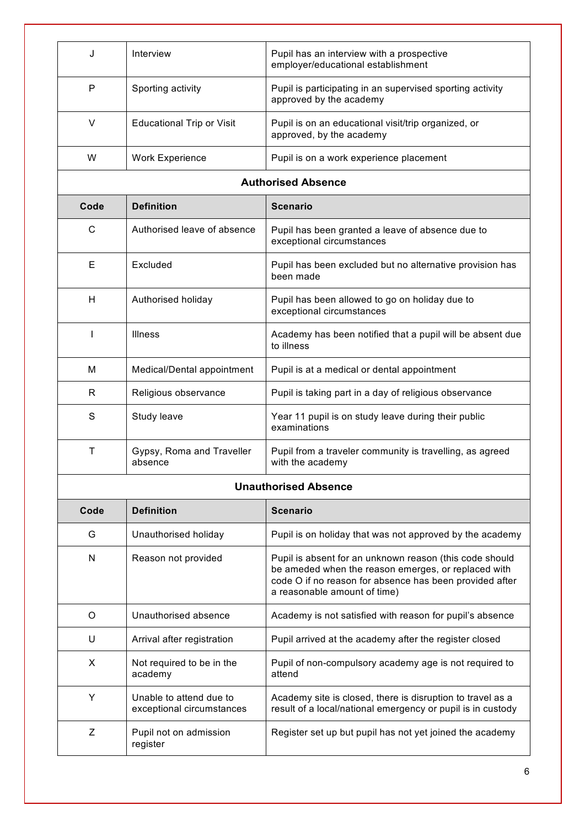| J    | Interview                                            | Pupil has an interview with a prospective<br>employer/educational establishment                                                                                                                           |
|------|------------------------------------------------------|-----------------------------------------------------------------------------------------------------------------------------------------------------------------------------------------------------------|
| P    | Sporting activity                                    | Pupil is participating in an supervised sporting activity<br>approved by the academy                                                                                                                      |
| V    | <b>Educational Trip or Visit</b>                     | Pupil is on an educational visit/trip organized, or<br>approved, by the academy                                                                                                                           |
| W    | <b>Work Experience</b>                               | Pupil is on a work experience placement                                                                                                                                                                   |
|      |                                                      | <b>Authorised Absence</b>                                                                                                                                                                                 |
| Code | <b>Definition</b>                                    | <b>Scenario</b>                                                                                                                                                                                           |
| C    | Authorised leave of absence                          | Pupil has been granted a leave of absence due to<br>exceptional circumstances                                                                                                                             |
| Е    | Excluded                                             | Pupil has been excluded but no alternative provision has<br>been made                                                                                                                                     |
| н    | Authorised holiday                                   | Pupil has been allowed to go on holiday due to<br>exceptional circumstances                                                                                                                               |
| ı    | <b>Illness</b>                                       | Academy has been notified that a pupil will be absent due<br>to illness                                                                                                                                   |
| M    | Medical/Dental appointment                           | Pupil is at a medical or dental appointment                                                                                                                                                               |
| R    | Religious observance                                 | Pupil is taking part in a day of religious observance                                                                                                                                                     |
| S    | Study leave                                          | Year 11 pupil is on study leave during their public<br>examinations                                                                                                                                       |
| T    | Gypsy, Roma and Traveller<br>absence                 | Pupil from a traveler community is travelling, as agreed<br>with the academy                                                                                                                              |
|      |                                                      | <b>Unauthorised Absence</b>                                                                                                                                                                               |
| Code | <b>Definition</b>                                    | <b>Scenario</b>                                                                                                                                                                                           |
| G    | Unauthorised holiday                                 | Pupil is on holiday that was not approved by the academy                                                                                                                                                  |
| N    | Reason not provided                                  | Pupil is absent for an unknown reason (this code should<br>be ameded when the reason emerges, or replaced with<br>code O if no reason for absence has been provided after<br>a reasonable amount of time) |
| O    | Unauthorised absence                                 | Academy is not satisfied with reason for pupil's absence                                                                                                                                                  |
| U    | Arrival after registration                           | Pupil arrived at the academy after the register closed                                                                                                                                                    |
| X    | Not required to be in the<br>academy                 | Pupil of non-compulsory academy age is not required to<br>attend                                                                                                                                          |
| Υ    | Unable to attend due to<br>exceptional circumstances | Academy site is closed, there is disruption to travel as a<br>result of a local/national emergency or pupil is in custody                                                                                 |
| Z    | Pupil not on admission<br>register                   | Register set up but pupil has not yet joined the academy                                                                                                                                                  |
|      |                                                      |                                                                                                                                                                                                           |